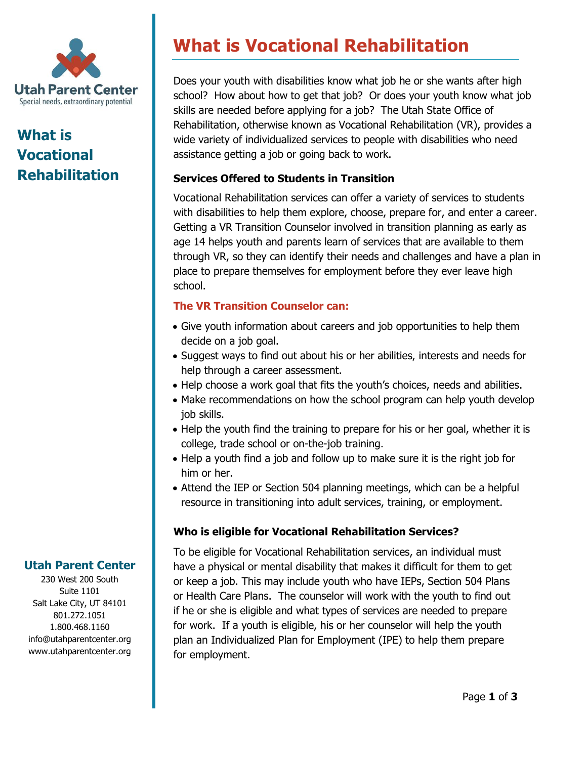

# **What is Vocational Rehabilitation**

# **What is Vocational Rehabilitation**

Does your youth with disabilities know what job he or she wants after high school? How about how to get that job? Or does your youth know what job skills are needed before applying for a job? The Utah State Office of Rehabilitation, otherwise known as Vocational Rehabilitation (VR), provides a wide variety of individualized services to people with disabilities who need assistance getting a job or going back to work.

# **Services Offered to Students in Transition**

Vocational Rehabilitation services can offer a variety of services to students with disabilities to help them explore, choose, prepare for, and enter a career. Getting a VR Transition Counselor involved in transition planning as early as age 14 helps youth and parents learn of services that are available to them through VR, so they can identify their needs and challenges and have a plan in place to prepare themselves for employment before they ever leave high school.

# **The VR Transition Counselor can:**

- Give youth information about careers and job opportunities to help them decide on a job goal.
- Suggest ways to find out about his or her abilities, interests and needs for help through a career assessment.
- Help choose a work goal that fits the youth's choices, needs and abilities.
- Make recommendations on how the school program can help youth develop job skills.
- Help the youth find the training to prepare for his or her goal, whether it is college, trade school or on-the-job training.
- Help a youth find a job and follow up to make sure it is the right job for him or her.
- Attend the IEP or Section 504 planning meetings, which can be a helpful resource in transitioning into adult services, training, or employment.

### **Who is eligible for Vocational Rehabilitation Services?**

To be eligible for Vocational Rehabilitation services, an individual must have a physical or mental disability that makes it difficult for them to get or keep a job. This may include youth who have IEPs, Section 504 Plans or Health Care Plans. The counselor will work with the youth to find out if he or she is eligible and what types of services are needed to prepare for work. If a youth is eligible, his or her counselor will help the youth plan an Individualized Plan for Employment (IPE) to help them prepare for employment.

# **Utah Parent Center**

230 West 200 South Suite 1101 Salt Lake City, UT 84101 801.272.1051 1.800.468.1160 info@utahparentcenter.org www.utahparentcenter.org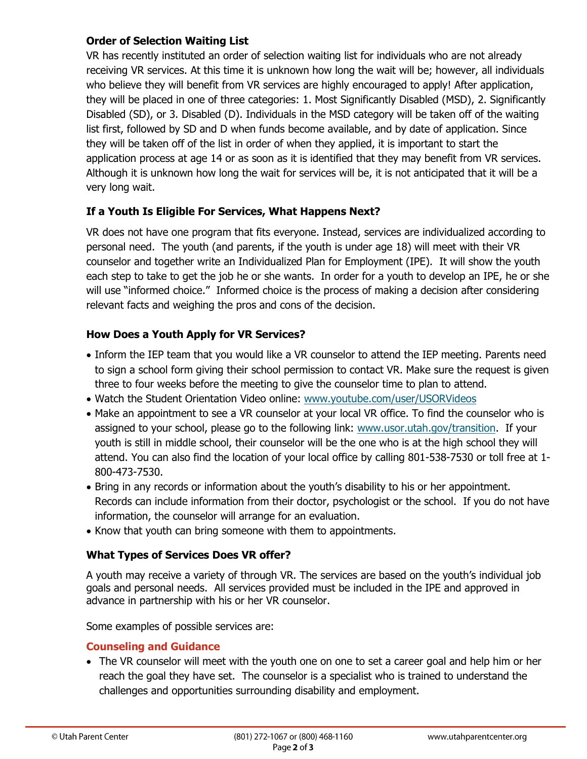### **Order of Selection Waiting List**

VR has recently instituted an order of selection waiting list for individuals who are not already receiving VR services. At this time it is unknown how long the wait will be; however, all individuals who believe they will benefit from VR services are highly encouraged to apply! After application, they will be placed in one of three categories: 1. Most Significantly Disabled (MSD), 2. Significantly Disabled (SD), or 3. Disabled (D). Individuals in the MSD category will be taken off of the waiting list first, followed by SD and D when funds become available, and by date of application. Since they will be taken off of the list in order of when they applied, it is important to start the application process at age 14 or as soon as it is identified that they may benefit from VR services. Although it is unknown how long the wait for services will be, it is not anticipated that it will be a very long wait.

# **If a Youth Is Eligible For Services, What Happens Next?**

VR does not have one program that fits everyone. Instead, services are individualized according to personal need. The youth (and parents, if the youth is under age 18) will meet with their VR counselor and together write an Individualized Plan for Employment (IPE). It will show the youth each step to take to get the job he or she wants. In order for a youth to develop an IPE, he or she will use "informed choice." Informed choice is the process of making a decision after considering relevant facts and weighing the pros and cons of the decision.

# **How Does a Youth Apply for VR Services?**

- Inform the IEP team that you would like a VR counselor to attend the IEP meeting. Parents need to sign a school form giving their school permission to contact VR. Make sure the request is given three to four weeks before the meeting to give the counselor time to plan to attend.
- Watch the Student Orientation Video online: [www.youtube.com/user/USORVideos](http://www.youtube.com/user/USORVideos)
- Make an appointment to see a VR counselor at your local VR office. To find the counselor who is assigned to your school, please go to the following link: www.usor.utah.gov/transition. If your youth is still in middle school, their counselor will be the one who is at the high school they will attend. You can also find the location of your local office by calling 801-538-7530 or toll free at 1- 800-473-7530.
- Bring in any records or information about the youth's disability to his or her appointment. Records can include information from their doctor, psychologist or the school. If you do not have information, the counselor will arrange for an evaluation.
- Know that youth can bring someone with them to appointments.

### **What Types of Services Does VR offer?**

A youth may receive a variety of through VR. The services are based on the youth's individual job goals and personal needs. All services provided must be included in the IPE and approved in advance in partnership with his or her VR counselor.

Some examples of possible services are:

### **Counseling and Guidance**

 The VR counselor will meet with the youth one on one to set a career goal and help him or her reach the goal they have set. The counselor is a specialist who is trained to understand the challenges and opportunities surrounding disability and employment.